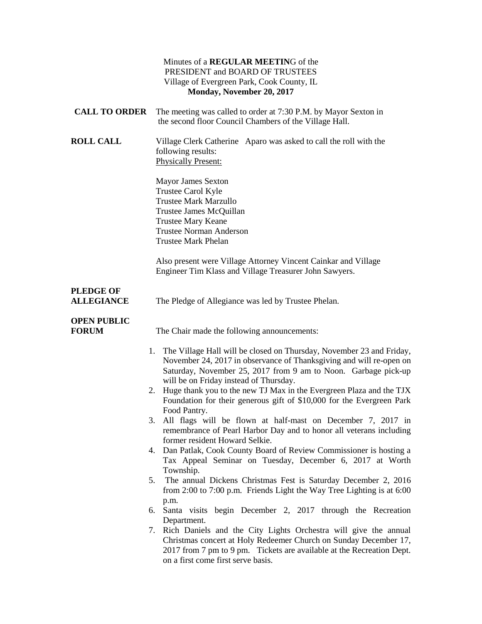| Minutes of a <b>REGULAR MEETING</b> of the<br>PRESIDENT and BOARD OF TRUSTEES<br>Village of Evergreen Park, Cook County, IL<br>Monday, November 20, 2017 |                                                                                                                                                                                                                                                                         |
|----------------------------------------------------------------------------------------------------------------------------------------------------------|-------------------------------------------------------------------------------------------------------------------------------------------------------------------------------------------------------------------------------------------------------------------------|
| <b>CALL TO ORDER</b>                                                                                                                                     | The meeting was called to order at 7:30 P.M. by Mayor Sexton in<br>the second floor Council Chambers of the Village Hall.                                                                                                                                               |
| <b>ROLL CALL</b>                                                                                                                                         | Village Clerk Catherine Aparo was asked to call the roll with the<br>following results:<br><b>Physically Present:</b>                                                                                                                                                   |
|                                                                                                                                                          | <b>Mayor James Sexton</b><br>Trustee Carol Kyle<br><b>Trustee Mark Marzullo</b><br>Trustee James McQuillan<br><b>Trustee Mary Keane</b><br><b>Trustee Norman Anderson</b><br><b>Trustee Mark Phelan</b>                                                                 |
|                                                                                                                                                          | Also present were Village Attorney Vincent Cainkar and Village<br>Engineer Tim Klass and Village Treasurer John Sawyers.                                                                                                                                                |
| <b>PLEDGE OF</b><br><b>ALLEGIANCE</b>                                                                                                                    | The Pledge of Allegiance was led by Trustee Phelan.                                                                                                                                                                                                                     |
| <b>OPEN PUBLIC</b><br><b>FORUM</b>                                                                                                                       | The Chair made the following announcements:                                                                                                                                                                                                                             |
|                                                                                                                                                          | The Village Hall will be closed on Thursday, November 23 and Friday,<br>1.<br>November 24, 2017 in observance of Thanksgiving and will re-open on<br>Saturday, November 25, 2017 from 9 am to Noon. Garbage pick-up<br>will be on Friday instead of Thursday.           |
|                                                                                                                                                          | 2. Huge thank you to the new TJ Max in the Evergreen Plaza and the TJX<br>Foundation for their generous gift of \$10,000 for the Evergreen Park<br>Food Pantry.                                                                                                         |
|                                                                                                                                                          | 3.<br>All flags will be flown at half-mast on December 7, 2017 in<br>remembrance of Pearl Harbor Day and to honor all veterans including<br>former resident Howard Selkie.                                                                                              |
|                                                                                                                                                          | 4. Dan Patlak, Cook County Board of Review Commissioner is hosting a<br>Tax Appeal Seminar on Tuesday, December 6, 2017 at Worth<br>Township.                                                                                                                           |
|                                                                                                                                                          | 5.<br>The annual Dickens Christmas Fest is Saturday December 2, 2016<br>from 2:00 to 7:00 p.m. Friends Light the Way Tree Lighting is at $6:00$<br>p.m.                                                                                                                 |
|                                                                                                                                                          | Santa visits begin December 2, 2017 through the Recreation<br>6.                                                                                                                                                                                                        |
|                                                                                                                                                          | Department.<br>Rich Daniels and the City Lights Orchestra will give the annual<br>7.<br>Christmas concert at Holy Redeemer Church on Sunday December 17,<br>2017 from 7 pm to 9 pm. Tickets are available at the Recreation Dept.<br>on a first come first serve basis. |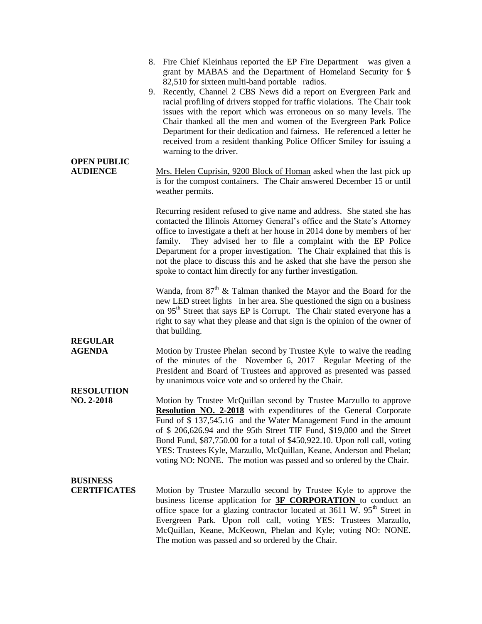| <b>OPEN PUBLIC</b>                                   | 8. Fire Chief Kleinhaus reported the EP Fire Department was given a<br>grant by MABAS and the Department of Homeland Security for \$<br>82,510 for sixteen multi-band portable radios.<br>9. Recently, Channel 2 CBS News did a report on Evergreen Park and<br>racial profiling of drivers stopped for traffic violations. The Chair took<br>issues with the report which was erroneous on so many levels. The<br>Chair thanked all the men and women of the Evergreen Park Police<br>Department for their dedication and fairness. He referenced a letter he<br>received from a resident thanking Police Officer Smiley for issuing a<br>warning to the driver. |
|------------------------------------------------------|-------------------------------------------------------------------------------------------------------------------------------------------------------------------------------------------------------------------------------------------------------------------------------------------------------------------------------------------------------------------------------------------------------------------------------------------------------------------------------------------------------------------------------------------------------------------------------------------------------------------------------------------------------------------|
| <b>AUDIENCE</b>                                      | Mrs. Helen Cuprisin, 9200 Block of Homan asked when the last pick up<br>is for the compost containers. The Chair answered December 15 or until<br>weather permits.                                                                                                                                                                                                                                                                                                                                                                                                                                                                                                |
|                                                      | Recurring resident refused to give name and address. She stated she has<br>contacted the Illinois Attorney General's office and the State's Attorney<br>office to investigate a theft at her house in 2014 done by members of her<br>They advised her to file a complaint with the EP Police<br>family.<br>Department for a proper investigation. The Chair explained that this is<br>not the place to discuss this and he asked that she have the person she<br>spoke to contact him directly for any further investigation.                                                                                                                                     |
|                                                      | Wanda, from $87th$ & Talman thanked the Mayor and the Board for the<br>new LED street lights in her area. She questioned the sign on a business<br>on 95 <sup>th</sup> Street that says EP is Corrupt. The Chair stated everyone has a<br>right to say what they please and that sign is the opinion of the owner of<br>that building.                                                                                                                                                                                                                                                                                                                            |
| <b>REGULAR</b><br><b>AGENDA</b><br><b>RESOLUTION</b> | Motion by Trustee Phelan second by Trustee Kyle to waive the reading<br>of the minutes of the November 6, 2017 Regular Meeting of the<br>President and Board of Trustees and approved as presented was passed<br>by unanimous voice vote and so ordered by the Chair.                                                                                                                                                                                                                                                                                                                                                                                             |
| NO. 2-2018                                           | Motion by Trustee McQuillan second by Trustee Marzullo to approve<br>Resolution NO. 2-2018 with expenditures of the General Corporate<br>Fund of \$137,545.16 and the Water Management Fund in the amount<br>of \$ 206,626.94 and the 95th Street TIF Fund, \$19,000 and the Street<br>Bond Fund, \$87,750.00 for a total of \$450,922.10. Upon roll call, voting<br>YES: Trustees Kyle, Marzullo, McQuillan, Keane, Anderson and Phelan;<br>voting NO: NONE. The motion was passed and so ordered by the Chair.                                                                                                                                                  |
| <b>BUSINESS</b><br><b>CERTIFICATES</b>               | Motion by Trustee Marzullo second by Trustee Kyle to approve the<br>business license application for <b>3F CORPORATION</b> to conduct an<br>office space for a glazing contractor located at 3611 W. 95 <sup>th</sup> Street in<br>Evergreen Park. Upon roll call, voting YES: Trustees Marzullo,<br>McQuillan, Keane, McKeown, Phelan and Kyle; voting NO: NONE.<br>The motion was passed and so ordered by the Chair.                                                                                                                                                                                                                                           |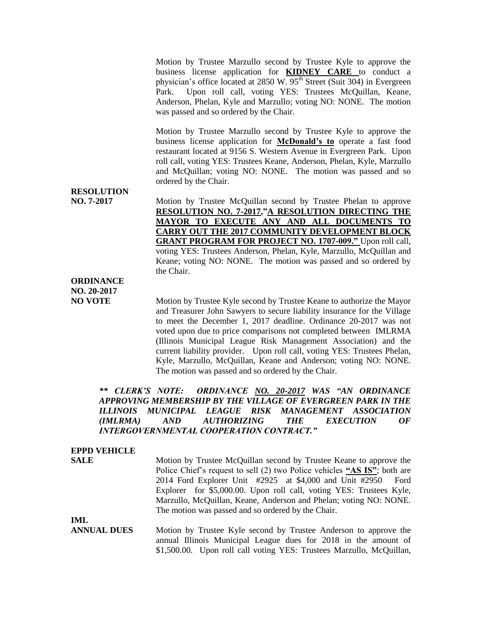Motion by Trustee Marzullo second by Trustee Kyle to approve the business license application for **KIDNEY CARE** to conduct a physician's office located at  $2850 \text{ W}$ .  $95^{\text{th}}$  Street (Suit 304) in Evergreen Park. Upon roll call, voting YES: Trustees McQuillan, Keane, Anderson, Phelan, Kyle and Marzullo; voting NO: NONE. The motion was passed and so ordered by the Chair.

Motion by Trustee Marzullo second by Trustee Kyle to approve the business license application for **McDonald's to** operate a fast food restaurant located at 9156 S. Western Avenue in Evergreen Park. Upon roll call, voting YES: Trustees Keane, Anderson, Phelan, Kyle, Marzullo and McQuillan; voting NO: NONE. The motion was passed and so ordered by the Chair.

## **RESOLUTION**

**NO. 7-2017** Motion by Trustee McQuillan second by Trustee Phelan to approve **RESOLUTION NO. 7-2017,"A RESOLUTION DIRECTING THE MAYOR TO EXECUTE ANY AND ALL DOCUMENTS TO CARRY OUT THE 2017 COMMUNITY DEVELOPMENT BLOCK GRANT PROGRAM FOR PROJECT NO. 1707-009."** Upon roll call, voting YES: Trustees Anderson, Phelan, Kyle, Marzullo, McQuillan and Keane; voting NO: NONE. The motion was passed and so ordered by the Chair.

## **ORDINANCE**

**NO. 20-2017**

**NO VOTE** Motion by Trustee Kyle second by Trustee Keane to authorize the Mayor and Treasurer John Sawyers to secure liability insurance for the Village to meet the December 1, 2017 deadline. Ordinance 20-2017 was not voted upon due to price comparisons not completed between IMLRMA (Illinois Municipal League Risk Management Association) and the current liability provider. Upon roll call, voting YES: Trustees Phelan, Kyle, Marzullo, McQuillan, Keane and Anderson; voting NO: NONE. The motion was passed and so ordered by the Chair.

*\*\* CLERK'S NOTE: ORDINANCE NO. 20-2017 WAS "AN ORDINANCE APPROVING MEMBERSHIP BY THE VILLAGE OF EVERGREEN PARK IN THE ILLINOIS MUNICIPAL LEAGUE RISK MANAGEMENT ASSOCIATION (IMLRMA) AND AUTHORIZING THE EXECUTION OF INTERGOVERNMENTAL COOPERATION CONTRACT."* 

### **EPPD VEHICLE**

**SALE** Motion by Trustee McQuillan second by Trustee Keane to approve the Police Chief's request to sell (2) two Police vehicles **"AS IS"**; both are 2014 Ford Explorer Unit #2925 at \$4,000 and Unit #2950 Ford Explorer for \$5,000.00. Upon roll call, voting YES: Trustees Kyle, Marzullo, McQuillan, Keane, Anderson and Phelan; voting NO: NONE. The motion was passed and so ordered by the Chair.

#### **IML**

**ANNUAL DUES** Motion by Trustee Kyle second by Trustee Anderson to approve the annual Illinois Municipal League dues for 2018 in the amount of \$1,500.00. Upon roll call voting YES: Trustees Marzullo, McQuillan,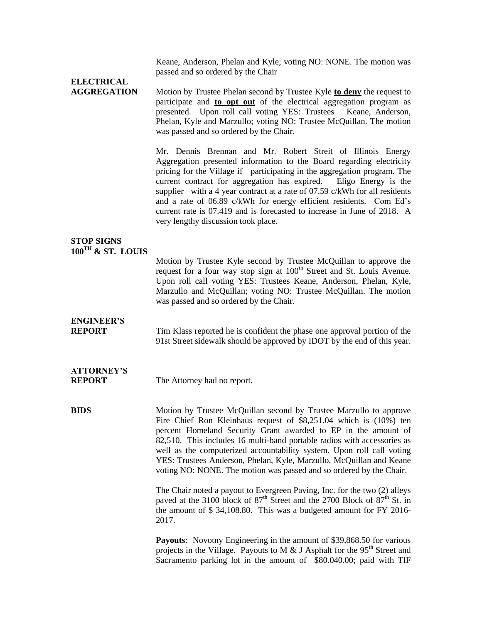Keane, Anderson, Phelan and Kyle; voting NO: NONE. The motion was passed and so ordered by the Chair

# **ELECTRICAL**

**AGGREGATION** Motion by Trustee Phelan second by Trustee Kyle **to deny** the request to participate and **to opt out** of the electrical aggregation program as presented. Upon roll call voting YES: Trustees Keane, Anderson, Phelan, Kyle and Marzullo; voting NO: Trustee McQuillan. The motion was passed and so ordered by the Chair.

> Mr. Dennis Brennan and Mr. Robert Streit of Illinois Energy Aggregation presented information to the Board regarding electricity pricing for the Village if participating in the aggregation program. The current contract for aggregation has expired. Eligo Energy is the supplier with a 4 year contract at a rate of 07.59 c/kWh for all residents and a rate of 06.89 c/kWh for energy efficient residents. Com Ed's current rate is 07.419 and is forecasted to increase in June of 2018. A very lengthy discussion took place.

#### **STOP SIGNS 100TH & ST. LOUIS**

Motion by Trustee Kyle second by Trustee McQuillan to approve the request for a four way stop sign at 100<sup>th</sup> Street and St. Louis Avenue. Upon roll call voting YES: Trustees Keane, Anderson, Phelan, Kyle, Marzullo and McQuillan; voting NO: Trustee McQuillan. The motion was passed and so ordered by the Chair.

### **ENGINEER'S**

**REPORT** Tim Klass reported he is confident the phase one approval portion of the 91st Street sidewalk should be approved by IDOT by the end of this year.

## **ATTORNEY'S**

**REPORT** The Attorney had no report.

**BIDS** Motion by Trustee McQuillan second by Trustee Marzullo to approve Fire Chief Ron Kleinhaus request of \$8,251.04 which is (10%) ten percent Homeland Security Grant awarded to EP in the amount of 82,510. This includes 16 multi-band portable radios with accessories as well as the computerized accountability system. Upon roll call voting YES: Trustees Anderson, Phelan, Kyle, Marzullo, McQuillan and Keane voting NO: NONE. The motion was passed and so ordered by the Chair.

> The Chair noted a payout to Evergreen Paving, Inc. for the two (2) alleys paved at the 3100 block of  $87<sup>th</sup>$  Street and the 2700 Block of  $87<sup>th</sup>$  St. in the amount of \$ 34,108.80. This was a budgeted amount for FY 2016- 2017.

> **Payouts:** Novotny Engineering in the amount of \$39,868.50 for various projects in the Village. Payouts to M  $&$  J Asphalt for the 95<sup>th</sup> Street and Sacramento parking lot in the amount of \$80.040.00; paid with TIF